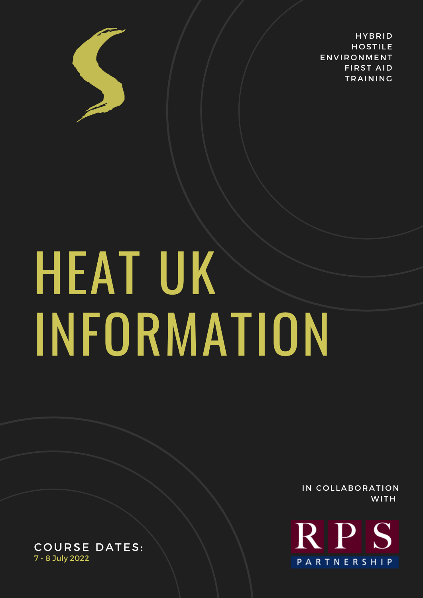

**HYBRID HOSTILE ENVIRONMENT FIRST AID TRAINING** 

# **HEAT UK** INFORMATION

IN COLLABORATION **WITH** 



COURSE DATES: 7 - 8 July 2022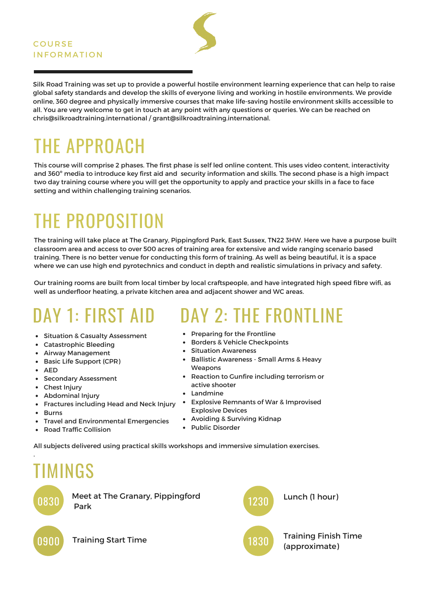

Silk Road Training was set up to provide a powerful hostile environment learning experience that can help to raise global safety standards and develop the skills of everyone living and working in hostile environments. We provide online, 360 degree and physically immersive courses that make life-saving hostile environment skills accessible to all. You are very welcome to get in touch at any point with any questions or queries. We can be reached on chris@silkroadtraining.international / grant@silkroadtraining.international.

# THE APPROACH

This course will comprise 2 phases. The first phase is self led online content. This uses video content, interactivity and 360º media to introduce key first aid and security information and skills. The second phase is a high impact two day training course where you will get the opportunity to apply and practice your skills in a face to face setting and within challenging training scenarios.

## THE PROPOSITION

The training will take place at The Granary, Pippingford Park, East Sussex, TN22 3HW. Here we have a purpose built classroom area and access to over 500 acres of training area for extensive and wide ranging scenario based training. There is no better venue for conducting this form of training. As well as being beautiful, it is a space where we can use high end pyrotechnics and conduct in depth and realistic simulations in privacy and safety.

Our training rooms are built from local timber by local craftspeople, and have integrated high speed fibre wifi, as well as underfloor heating, a private kitchen area and adjacent shower and WC areas.

#### DAY 1: FIRST AID

- Situation & Casualty Assessment
- Catastrophic Bleeding
- Airway Management
- **Basic Life Support (CPR)**
- $\bullet$  AFD
- Secondary Assessment
- Chest Injury
- Abdominal Injury
- Fractures including Head and Neck Injury
- Burns
	-
- Travel and Environmental Emergencies
- Road Traffic Collision

• Preparing for the Frontline

- Borders & Vehicle Checkpoints
- Situation Awareness
- Ballistic Awareness Small Arms & Heavy **Weapons**

DAY 2: THE FRONTLINE

- Reaction to Gunfire including terrorism or active shooter
- Landmine
- Explosive Remnants of War & Improvised Explosive Devices

1830

- Avoiding & Surviving Kidnap
- Public Disorder

All subjects delivered using practical skills workshops and immersive simulation exercises.

## TIMINGS



.

Meet at The Granary, Pippingford Park

Lunch (1 hour) 1230

Training Finish Time 0900 Training Start Time (1830 (approximate)

Training Start Time